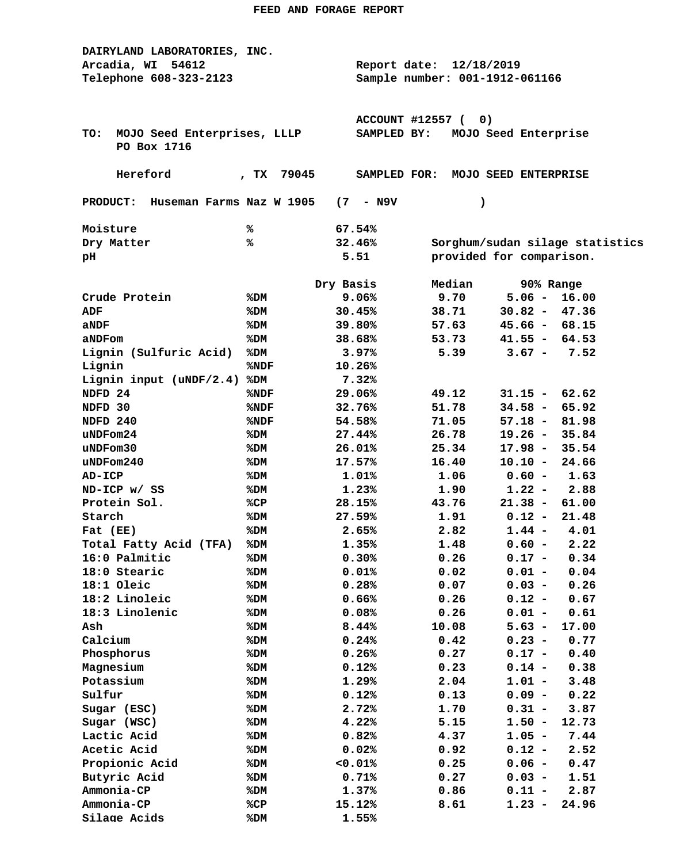| DAIRYLAND LABORATORIES, INC.       |                                |                         |                          |                         |                                 |  |  |  |  |  |
|------------------------------------|--------------------------------|-------------------------|--------------------------|-------------------------|---------------------------------|--|--|--|--|--|
| Arcadia, WI 54612                  |                                |                         |                          | Report date: 12/18/2019 |                                 |  |  |  |  |  |
| Telephone 608-323-2123             | Sample number: 001-1912-061166 |                         |                          |                         |                                 |  |  |  |  |  |
|                                    |                                |                         |                          |                         |                                 |  |  |  |  |  |
|                                    |                                |                         |                          |                         |                                 |  |  |  |  |  |
|                                    |                                | <b>ACCOUNT #12557 (</b> | 0)                       |                         |                                 |  |  |  |  |  |
| MOJO Seed Enterprises, LLLP<br>TO: |                                | SAMPLED BY:             |                          | MOJO Seed Enterprise    |                                 |  |  |  |  |  |
| PO Box 1716                        |                                |                         |                          |                         |                                 |  |  |  |  |  |
|                                    |                                |                         |                          |                         |                                 |  |  |  |  |  |
| Hereford                           | 79045<br>, $TX$                | SAMPLED FOR:            |                          | MOJO SEED ENTERPRISE    |                                 |  |  |  |  |  |
|                                    |                                |                         |                          |                         |                                 |  |  |  |  |  |
| PRODUCT: Huseman Farms Naz W 1905  | (7)                            | - N9V                   | $\lambda$                |                         |                                 |  |  |  |  |  |
|                                    |                                |                         |                          |                         |                                 |  |  |  |  |  |
| Moisture                           | ℁                              | 67.54%                  |                          |                         |                                 |  |  |  |  |  |
| Dry Matter                         | ℁                              | 32.46%                  |                          |                         | Sorghum/sudan silage statistics |  |  |  |  |  |
| pН                                 |                                | 5.51                    | provided for comparison. |                         |                                 |  |  |  |  |  |
| Dry Basis<br>Median<br>90% Range   |                                |                         |                          |                         |                                 |  |  |  |  |  |
| Crude Protein                      | %DM                            | 9.06%                   | 9.70                     | $5.06 -$                | 16.00                           |  |  |  |  |  |
| ADF                                |                                | 30.45%                  | 38.71                    | $30.82 -$               | 47.36                           |  |  |  |  |  |
|                                    | %DM                            |                         | 57.63                    |                         |                                 |  |  |  |  |  |
| aNDF                               | %DM                            | 39.80%                  |                          | $45.66 - 68.15$         |                                 |  |  |  |  |  |
| aNDFom                             | %DM                            | 38.68%                  | 53.73                    | $41.55 - 64.53$         |                                 |  |  |  |  |  |
| Lignin (Sulfuric Acid)             | %DM                            | 3.97%                   | 5.39                     | $3.67 -$                | 7.52                            |  |  |  |  |  |
| Lignin                             | %NDF                           | 10.26%                  |                          |                         |                                 |  |  |  |  |  |
| Lignin input (uNDF/2.4)            | %DM                            | 7.32%                   |                          |                         |                                 |  |  |  |  |  |
| NDFD 24                            | %NDF                           | 29.06%                  | 49.12                    | $31.15 -$               | 62.62                           |  |  |  |  |  |
| NDFD 30                            | %NDF                           | 32.76%                  | 51.78                    | $34.58 -$               | 65.92                           |  |  |  |  |  |
| NDFD 240                           | %NDF                           | 54.58%                  | 71.05                    | $57.18 -$               | 81.98                           |  |  |  |  |  |
| uNDFom24                           | %DM                            | 27.44%                  | 26.78                    | $19.26 -$               | 35.84                           |  |  |  |  |  |
| uNDFom30                           | %DM                            | 26.01%                  | 25.34                    | $17.98 -$               | 35.54                           |  |  |  |  |  |
| $u$ NDF $om240$                    | %DM                            | 17.57%                  | 16.40                    | $10.10 -$               | 24.66                           |  |  |  |  |  |
| AD-ICP                             | %DM                            | 1.01%                   | 1.06                     | $0.60 -$                | 1.63                            |  |  |  |  |  |
| ND-ICP w/ SS                       | %DM                            | 1.23%                   | 1.90                     | $1.22 -$                | 2.88                            |  |  |  |  |  |
| Protein Sol.                       | %CP                            | 28.15%                  | 43.76                    | $21.38 -$               | 61.00                           |  |  |  |  |  |
| Starch                             | %DM                            | 27.59%                  | 1.91                     | $0.12 -$                | 21.48                           |  |  |  |  |  |
| Fat (EE)                           | %DM                            | 2.65%                   | 2.82                     | $1.44 -$                | 4.01                            |  |  |  |  |  |
| Total Fatty Acid (TFA)             | %DM                            | 1.35%                   | 1.48                     | $0.60 -$                | 2.22                            |  |  |  |  |  |
| 16:0 Palmitic                      | %DM                            | 0.30%                   | 0.26                     | $0.17 - 0.34$           |                                 |  |  |  |  |  |
| 18:0 Stearic                       | %DM                            | 0.01%                   | 0.02                     | $0.01 -$                | 0.04                            |  |  |  |  |  |
| 18:1 Oleic                         | %DM                            | 0.28%                   | 0.07                     | $0.03 -$                | 0.26                            |  |  |  |  |  |
| 18:2 Linoleic                      | %DM                            | 0.66%                   | 0.26                     | $0.12 -$                | 0.67                            |  |  |  |  |  |
| 18:3 Linolenic                     | %DM                            | 0.08%                   | 0.26                     | $0.01 -$                | 0.61                            |  |  |  |  |  |
| Ash                                | %DM                            | 8.44%                   | 10.08                    | $5.63 -$                | 17.00                           |  |  |  |  |  |
| Calcium                            | %DM                            | 0.24%                   | 0.42                     | $0.23 -$                | 0.77                            |  |  |  |  |  |
| Phosphorus                         | %DM                            | 0.26%                   | 0.27                     | $0.17 -$                | 0.40                            |  |  |  |  |  |
| Magnesium                          | %DM                            | 0.12%                   | 0.23                     | $0.14 -$                | 0.38                            |  |  |  |  |  |
| Potassium                          | %DM                            | 1.29%                   | 2.04                     | $1.01 -$                | 3.48                            |  |  |  |  |  |
| Sulfur                             | %DM                            | 0.12%                   | 0.13                     | $0.09 -$                | 0.22                            |  |  |  |  |  |
| Sugar (ESC)                        | %DM                            | 2.72%                   | 1.70                     | $0.31 -$                | 3.87                            |  |  |  |  |  |
| Sugar (WSC)                        | %DM                            | 4.22%                   | 5.15                     | $1.50 -$                | 12.73                           |  |  |  |  |  |
| Lactic Acid                        | %DM                            | 0.82%                   | 4.37                     | $1.05 -$                | 7.44                            |  |  |  |  |  |
| Acetic Acid                        | %DM                            | 0.02%                   | 0.92                     | $0.12 -$                | 2.52                            |  |  |  |  |  |
| Propionic Acid                     | %DM                            | 0.01%                   | 0.25                     | $0.06 -$                | 0.47                            |  |  |  |  |  |
| Butyric Acid                       | %DM                            | 0.71%                   | 0.27                     | $0.03 -$                | 1.51                            |  |  |  |  |  |
| Ammonia-CP                         | %DM                            | 1.37%                   | 0.86                     | $0.11 -$                | 2.87                            |  |  |  |  |  |
| Ammonia-CP                         | %CP                            | 15.12%                  | 8.61                     | $1.23 -$                | 24.96                           |  |  |  |  |  |
| Silage Acids                       | %DM                            | 1.55%                   |                          |                         |                                 |  |  |  |  |  |